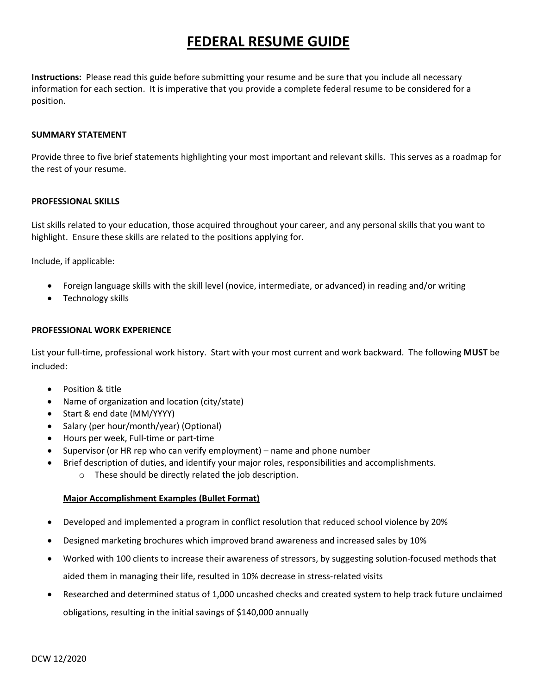# **FEDERAL RESUME GUIDE**

**Instructions:** Please read this guide before submitting your resume and be sure that you include all necessary information for each section. It is imperative that you provide a complete federal resume to be considered for a position.

#### **SUMMARY STATEMENT**

Provide three to five brief statements highlighting your most important and relevant skills. This serves as a roadmap for the rest of your resume.

#### **PROFESSIONAL SKILLS**

List skills related to your education, those acquired throughout your career, and any personal skills that you want to highlight. Ensure these skills are related to the positions applying for.

Include, if applicable:

- Foreign language skills with the skill level (novice, intermediate, or advanced) in reading and/or writing
- Technology skills

#### **PROFESSIONAL WORK EXPERIENCE**

List your full-time, professional work history. Start with your most current and work backward. The following **MUST** be included:

- Position & title
- Name of organization and location (city/state)
- Start & end date (MM/YYYY)
- Salary (per hour/month/year) (Optional)
- Hours per week, Full-time or part-time
- Supervisor (or HR rep who can verify employment) name and phone number
- Brief description of duties, and identify your major roles, responsibilities and accomplishments.
	- o These should be directly related the job description.

### **Major Accomplishment Examples (Bullet Format)**

- Developed and implemented a program in conflict resolution that reduced school violence by 20%
- Designed marketing brochures which improved brand awareness and increased sales by 10%
- Worked with 100 clients to increase their awareness of stressors, by suggesting solution-focused methods that aided them in managing their life, resulted in 10% decrease in stress-related visits
- Researched and determined status of 1,000 uncashed checks and created system to help track future unclaimed obligations, resulting in the initial savings of \$140,000 annually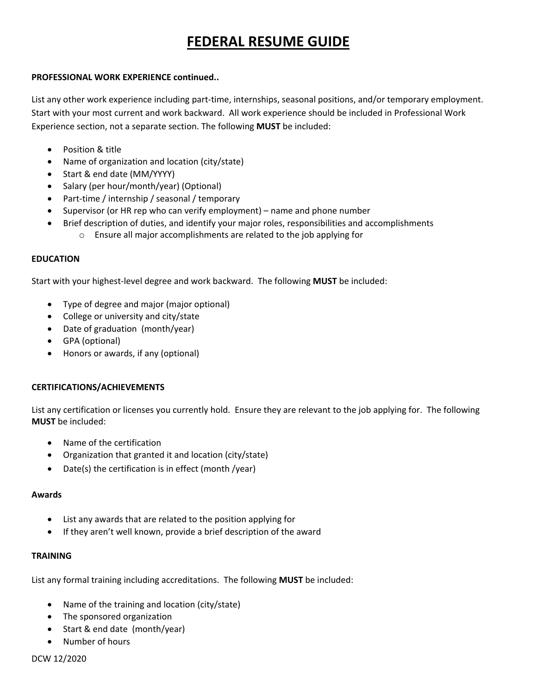# **FEDERAL RESUME GUIDE**

### **PROFESSIONAL WORK EXPERIENCE continued..**

List any other work experience including part-time, internships, seasonal positions, and/or temporary employment. Start with your most current and work backward. All work experience should be included in Professional Work Experience section, not a separate section. The following **MUST** be included:

- Position & title
- Name of organization and location (city/state)
- Start & end date (MM/YYYY)
- Salary (per hour/month/year) (Optional)
- Part-time / internship / seasonal / temporary
- Supervisor (or HR rep who can verify employment) name and phone number
- Brief description of duties, and identify your major roles, responsibilities and accomplishments
	- o Ensure all major accomplishments are related to the job applying for

# **EDUCATION**

Start with your highest-level degree and work backward. The following **MUST** be included:

- Type of degree and major (major optional)
- College or university and city/state
- Date of graduation (month/year)
- GPA (optional)
- Honors or awards, if any (optional)

# **CERTIFICATIONS/ACHIEVEMENTS**

List any certification or licenses you currently hold. Ensure they are relevant to the job applying for. The following **MUST** be included:

- Name of the certification
- Organization that granted it and location (city/state)
- Date(s) the certification is in effect (month /year)

### **Awards**

- List any awards that are related to the position applying for
- If they aren't well known, provide a brief description of the award

# **TRAINING**

List any formal training including accreditations. The following **MUST** be included:

- Name of the training and location (city/state)
- The sponsored organization
- Start & end date (month/year)
- Number of hours